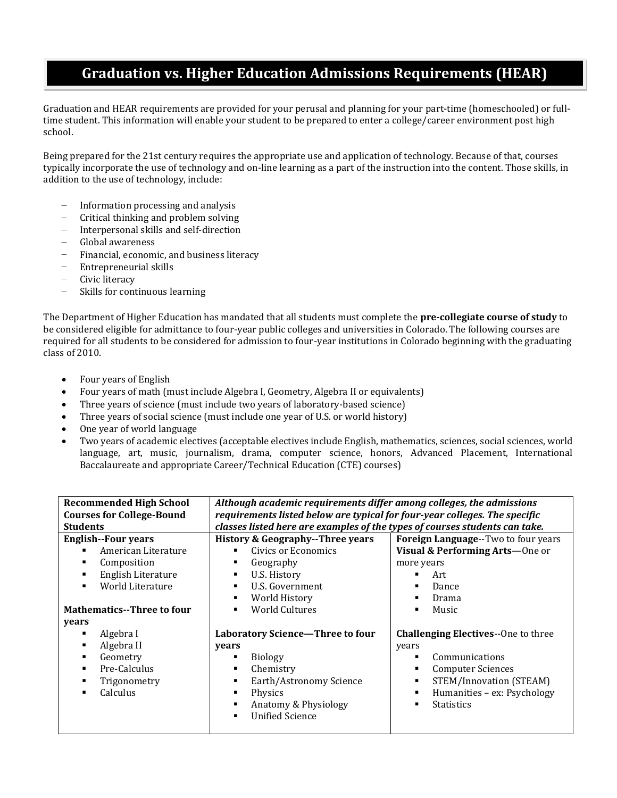## **Graduation vs. Higher Education Admissions Requirements (HEAR)**

Graduation and HEAR requirements are provided for your perusal and planning for your part-time (homeschooled) or fulltime student. This information will enable your student to be prepared to enter a college/career environment post high school.

Being prepared for the 21st century requires the appropriate use and application of technology. Because of that, courses typically incorporate the use of technology and on-line learning as a part of the instruction into the content. Those skills, in addition to the use of technology, include:

- Information processing and analysis
- Critical thinking and problem solving
- Interpersonal skills and self-direction
- Global awareness
- Financial, economic, and business literacy
- Entrepreneurial skills
- Civic literacy
- Skills for continuous learning

The Department of Higher Education has mandated that all students must complete the **pre-collegiate course of study** to be considered eligible for admittance to four-year public colleges and universities in Colorado. The following courses are required for all students to be considered for admission to four-year institutions in Colorado beginning with the graduating class of 2010.

- Four years of English
- Four years of math (must include Algebra I, Geometry, Algebra II or equivalents)
- Three years of science (must include two years of laboratory-based science)
- Three years of social science (must include one year of U.S. or world history)
- One year of world language
- Two years of academic electives (acceptable electives include English, mathematics, sciences, social sciences, world language, art, music, journalism, drama, computer science, honors, Advanced Placement, International Baccalaureate and appropriate Career/Technical Education (CTE) courses)

| <b>Recommended High School</b>     | Although academic requirements differ among colleges, the admissions        |                                             |
|------------------------------------|-----------------------------------------------------------------------------|---------------------------------------------|
| <b>Courses for College-Bound</b>   | requirements listed below are typical for four-year colleges. The specific  |                                             |
| <b>Students</b>                    | classes listed here are examples of the types of courses students can take. |                                             |
| <b>English--Four years</b>         | History & Geography--Three years                                            | <b>Foreign Language</b> --Two to four years |
| American Literature<br>٠           | Civics or Economics                                                         | Visual & Performing Arts-One or             |
| Composition<br>٠                   | Geography                                                                   | more years                                  |
| English Literature<br>٠            | U.S. History<br>٠                                                           | Art                                         |
| World Literature<br>$\blacksquare$ | U.S. Government<br>٠                                                        | Dance                                       |
|                                    | World History<br>٠                                                          | Drama                                       |
| <b>Mathematics--Three to four</b>  | <b>World Cultures</b>                                                       | Music                                       |
| years                              |                                                                             |                                             |
| Algebra I<br>٠                     | Laboratory Science-Three to four                                            | <b>Challenging Electives--One to three</b>  |
| Algebra II<br>٠                    | years                                                                       | years                                       |
| Geometry<br>٠                      | <b>Biology</b>                                                              | Communications                              |
| Pre-Calculus<br>٠                  | Chemistry                                                                   | <b>Computer Sciences</b><br>٠               |
| Trigonometry                       | Earth/Astronomy Science                                                     | STEM/Innovation (STEAM)<br>٠                |
| <b>Calculus</b><br>п               | Physics                                                                     | Humanities - ex: Psychology<br>٠            |
|                                    | Anatomy & Physiology                                                        | <b>Statistics</b><br>$\blacksquare$         |
|                                    | <b>Unified Science</b>                                                      |                                             |
|                                    |                                                                             |                                             |